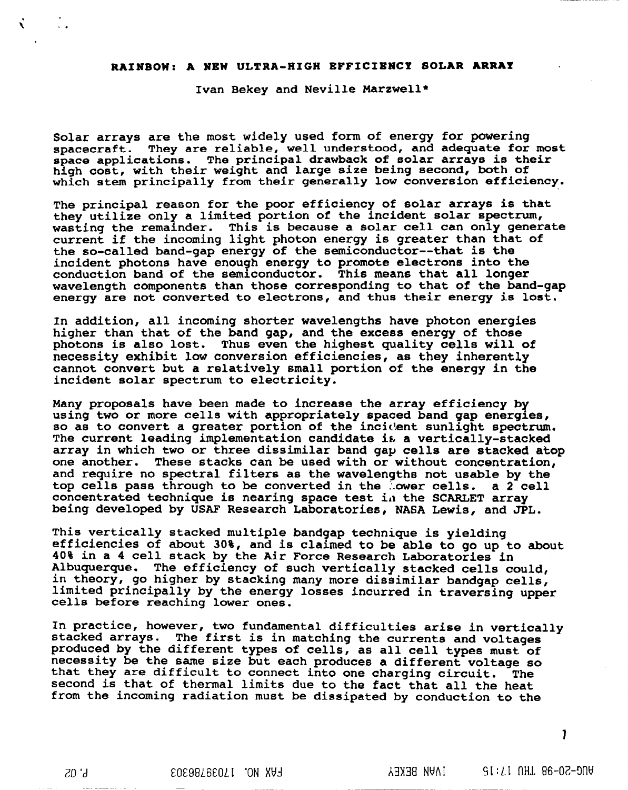## **RAINBOW: A NEW ULTRA-HIGH EFFICIENCY SOLAR** ARRAY

**Ivan Bekey and Neville Marzwell\***

**Solar arrays are the most widely used form of energy for powering spacecraft. They are reliable, well understood, and adequate for most space applications. The principal drawback of solar arrays is their high cost, with their weight and large size being second, both of which stem principally from their generally low conversion efficiency.**

**The principal reason for the poor efficiency of solar arrays is that they** utilize only a limited portion of the incident solar spectrum, **wasting the remainder. This is because a solar cell can only generate current if the incoming light photon energy is greater than that of the so-called band-gap energy of the semiconductor--that is the incident photons have enough energy to promote electrons into the conduction band of the semiconductor. This means that all longer wavelength components than those corresponding to that of the band-gap energy are not converted to electrons~ and thus their energy is lost.**

**In addition, all incoming shorter wavelengths have photon energies higher than that of the band gap, and the excess energy of those photons is also lost. Thus even the highest quality cells will of necessity exhibit low conversion efficiencies, as they inherently cannot convert but a relatively small portion of the energy in the incident solar spectrum to electricity.**

**Many proposals have been made to increase the array efficiency by using two or more cells with appropriately spaced band gap energies, so as to convert a greater portion of the inci~lentsunlight spectrum. The current leading implementation candidate if.a vertically-stacked array in which two or three dissimilar band gap cells are stacked atop one another. These stacks can be used with or without concentration, and require no spectral filters as the wavelengths not usable by the top cells pass through to be converted in the .'.owercells. a 2 cell concentrated technique is nearing space test ii)the SCARLET array being developed by USAF Research Laboratories, NASA Lewis, and JPL.**

**This vertically stacked multiple bandgap technique is yielding efficiencies of about 30%, and is claimed to be able to go up to about 40% in a 4 cell stack by the Air Force Research Laboratories in Albuquerque. The efficiency of such vertically stacked cells could, in theory, go higher by stacking many more dissimilar bandgap cells, limited principally by the energy losses incurred in traversing upper cells before reaching lower ones.**

**In practice, however, two fundamental difficulties arise in vertically stacked arrays. The first is in matching the currents and voltages produced by the different types of cells, as all cell types must of necessity be the same size but each produces a different voltage so that they are difficult to connect into one charging circuit. The second is that of thermal limits due to the fact that all the heat from the incoming radiation must be dissipated by conduction to the**

**7**

Ň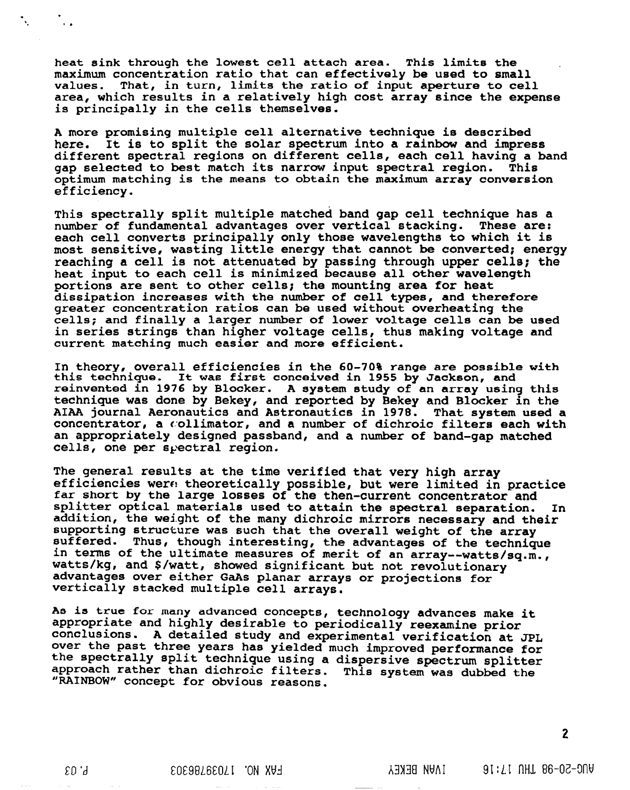**heat sink through the lowest cell attach area. This limits the maximum concentration ratio that can effectively be used to small values. That, in turn, limits the ratio of input aperture to cell area, which results in a relatively high cost array since the expense is principally in the cells themselves.**

. .

!.

**A more promising multiple cell alternative technique is described here. It is to split the solar spectrum into a rainbow and impress different spectral regions on different cells, each cell having a band gap selected to best match its narrow input spectral region. This optimum matching is the means to obtain the maximum array conversion efficiency.**

**This spectrally split multiple matched band gap cell technique has a number of fundamental advantages over vertical stacking. These are: each cell converts principally only those wavelengths to which it is most sensitive~ wasting little energy that cannot be converted; energy reaching a cell is not attenuated by passing through upper cells; the heat input to each cell is minimized because all other wavelength portions are sent to other cells; the mounting area for heat dissipation increases with the number of cell types, and therefore greater concentration ratios can be used without overheating the cells; and finally a larger number of lower voltage cells can be used in series strings than higher voltage cells, thus making voltage and current matching much easier and more efficient.**

**In theory, overall efficiencies in the 60-70% range are possible with this technique. It was first conceived in 1955 by Jackson, and reinvented in 1976 by Blocker. A system study of an array using this technique was done by Bekey, and reported by Bekey and Blocker in the AIAA journal Aeronautics and Astronautics in 1978. That system used a concentrator, a collimator, and a number of dichroic filters each with an appropriately designed passband, and a number of band-gap matched**  $cells, one per spectral region.$ 

**The general results at the time verified that very high array efficiencies wera theoretically possible, but were limited in practice far short by the large losses of the then-current concentrator and splitter optical materials used to attain the spectral separation. In addition, the weight of the many dichroic mirrors necessary and their supporting structure was such that the overall weight of the array suffered. Thus, though interesting, the advantages of the technique in terms of the ultimate measures of merit of an array--watts/sq.m. , watts/kg, and \$/watt, showed significant but not revolutionary advantages over either GaAs planar arrays or projections for vertically stacked multiple cell arrays.**

**As is true for many advanced concepts, technology advances make it appropriate and highly desirable to periodically reexamine prior conclusions. A detailed study and experimental verification at JPL over the past three years has yielded much improved performance for the spectrally split technique using a dispersive spectrum splitter approach rather than dichroic filters. This system was dubbed the "RAIN'Bc)W'~concept for obvious reasonS.**

2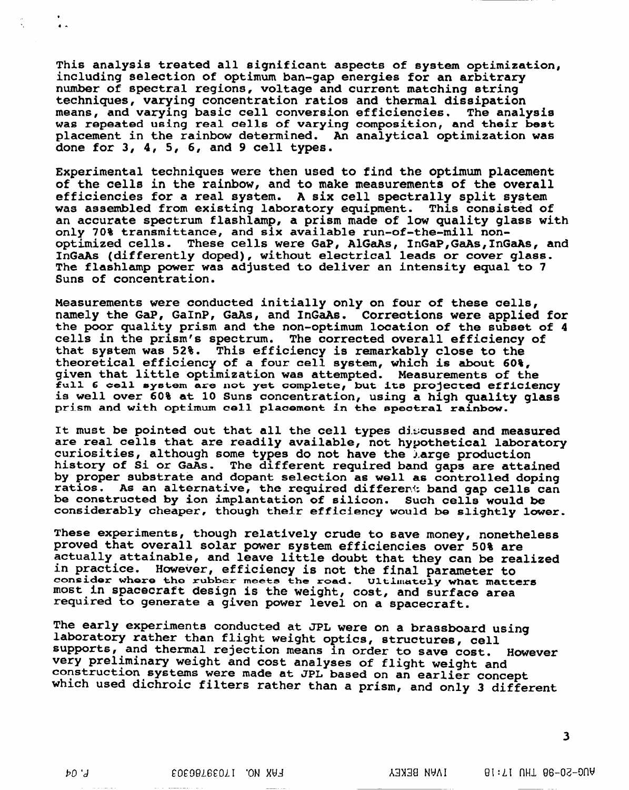**This analysis treated all significant aspects of system optimization, including selection of optimum ban-gap energies for an arbitrary number of spectral regions, voltage and current matching string techniques, varying concentration ratios and thermal dissipation means, and varying basic cell conversion efficiencies. The analysis was repeated using real cells** of **varying composition, and their best placement in the rainbow determined. An analytical optimization was done for 3, 4, 5, 6, and 9 cell types.**

**Experimental techniques were then used to find the optimum placement of the cells in the rainbow, and to make measurements of the overall efficiencies for a real system. A six cell spectrally split system was assembled from existing laboratory equipment. This consisted of an accurate spectrum flashlamp, a prism made of low quality glass with only 70% transmittance, and six available run-of-the-mill nonoptimized cells. These cells were GaP, AIGaAst InGaP,GaAs,InGaAs, and InGaAs (differently doped), without electrical leads or cover glass. The flashlamp power was adjusted to deliver an intensity equal to 7 Suns of concentration.**

**Measurements** *were* **conducted initially only on four of these cells, namely the GaP, GaInP, GaAs, and InGaAs. Corrections** *were* **applied for the poor quality prism and the non-optimum location of the subset of 4 cells in the prism's spectrum. The corrected overall efficiency of that system was 52%. This efficiency is remarkably close to the theoretical efficiency of a four cell system, which is about 60%, given that little optimization was attempted. Measurements of the full 6 cell system axe not yet complete, but ice projected eff'iclency is well over 60% at 10 Suns concentration, using a high quality glass**  $\frac{1}{2}$  prism and with optimum cell placement in the spectral rainbow.

**It must be pointed out that all the cell types discussed and measured are real cells that are readily available, not hypothetical laboratory curiosities, although some types do not have the ~,argeproduction history of Si or GaAs. The different required band gaps are attained by proper substrate and dopant selection as well as controlled doping ratios. As an alternative, the required differer~: band gap cells can be constructed by ion implantation of silicon. Such cells would be considerably cheaper, though their efficiency would be slightly lower.**

**These experiments, though relatively crude to save money, nonetheless proved that overall solar power system efficiencies over 50% are actually attainable, and leave little doubt that they can be realized in practice. However, efficiency is not the final parameter to considar where &he rubber mee~s &he road. Ulki.mutely what matters most in spacecraft design is the weight, cost, and surface area required to generate a given power level on a spacecraft.**

**The early experiments conducted at JPL were on a brassboard using laboratory rather than flight weight optics, structures, cell supports, and thermal rejection means in order to save cost. However very preliminary weight and cost analyses of flight weight and construction systems were made at JPL based on an earlier concept which used dichroic filters rather than a prism, and** *only* **3 different**

**3**

 $b0,7$ 

.  $\gamma_{\rm e}$  ,  $\gamma_{\rm e}$  ,  $\gamma_{\rm e}$